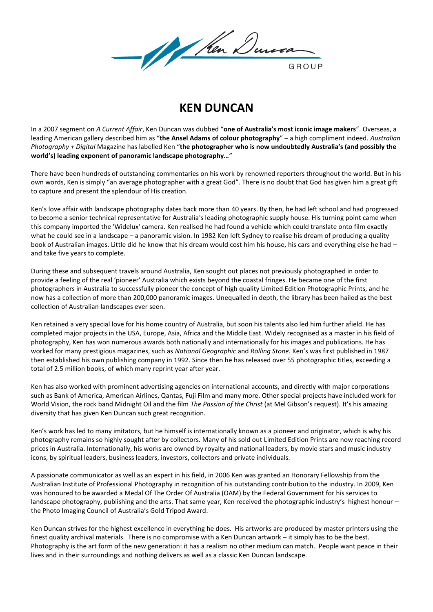

## **KEN DUNCAN**

In a 2007 segment on *A Current Affair*, Ken Duncan was dubbed "**one of Australia's most iconic image makers**". Overseas, a leading American gallery described him as "**the Ansel Adams of colour photography**" – a high compliment indeed. *Australian Photography + Digital* Magazine has labelled Ken "**the photographer who is now undoubtedly Australia's (and possibly the world's) leading exponent of panoramic landscape photography…**"

There have been hundreds of outstanding commentaries on his work by renowned reporters throughout the world. But in his own words, Ken is simply "an average photographer with a great God". There is no doubt that God has given him a great gift to capture and present the splendour of His creation.

Ken's love affair with landscape photography dates back more than 40 years. By then, he had left school and had progressed to become a senior technical representative for Australia's leading photographic supply house. His turning point came when this company imported the 'Widelux' camera. Ken realised he had found a vehicle which could translate onto film exactly what he could see in a landscape – a panoramic vision. In 1982 Ken left Sydney to realise his dream of producing a quality book of Australian images. Little did he know that his dream would cost him his house, his cars and everything else he had – and take five years to complete.

During these and subsequent travels around Australia, Ken sought out places not previously photographed in order to provide a feeling of the real 'pioneer' Australia which exists beyond the coastal fringes. He became one of the first photographers in Australia to successfully pioneer the concept of high quality Limited Edition Photographic Prints, and he now has a collection of more than 200,000 panoramic images. Unequalled in depth, the library has been hailed as the best collection of Australian landscapes ever seen.

Ken retained a very special love for his home country of Australia, but soon his talents also led him further afield. He has completed major projects in the USA, Europe, Asia, Africa and the Middle East. Widely recognised as a master in his field of photography, Ken has won numerous awards both nationally and internationally for his images and publications. He has worked for many prestigious magazines, such as *National Geographic* and *Rolling Stone.* Ken's was first published in 1987 then established his own publishing company in 1992. Since then he has released over 55 photographic titles, exceeding a total of 2.5 million books, of which many reprint year after year.

Ken has also worked with prominent advertising agencies on international accounts, and directly with major corporations such as Bank of America, American Airlines, Qantas, Fuji Film and many more. Other special projects have included work for World Vision, the rock band Midnight Oil and the film *The Passion of the Christ* (at Mel Gibson's request). It's his amazing diversity that has given Ken Duncan such great recognition.

Ken's work has led to many imitators, but he himself is internationally known as a pioneer and originator, which is why his photography remains so highly sought after by collectors. Many of his sold out Limited Edition Prints are now reaching record prices in Australia. Internationally, his works are owned by royalty and national leaders, by movie stars and music industry icons, by spiritual leaders, business leaders, investors, collectors and private individuals.

A passionate communicator as well as an expert in his field, in 2006 Ken was granted an Honorary Fellowship from the Australian Institute of Professional Photography in recognition of his outstanding contribution to the industry. In 2009, Ken was honoured to be awarded a Medal Of The Order Of Australia (OAM) by the Federal Government for his services to landscape photography, publishing and the arts. That same year, Ken received the photographic industry's highest honour – the Photo Imaging Council of Australia's Gold Tripod Award.

Ken Duncan strives for the highest excellence in everything he does. His artworks are produced by master printers using the finest quality archival materials. There is no compromise with a Ken Duncan artwork – it simply has to be the best. Photography is the art form of the new generation: it has a realism no other medium can match. People want peace in their lives and in their surroundings and nothing delivers as well as a classic Ken Duncan landscape.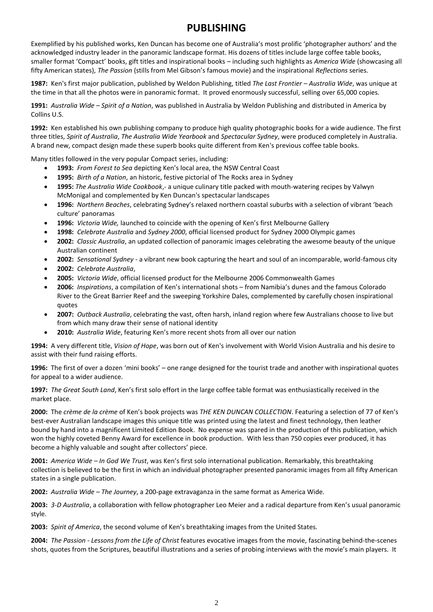## **PUBLISHING**

Exemplified by his published works, Ken Duncan has become one of Australia's most prolific 'photographer authors' and the acknowledged industry leader in the panoramic landscape format. His dozens of titles include large coffee table books, smaller format 'Compact' books, gift titles and inspirational books – including such highlights as *America Wide* (showcasing all fifty American states), *The Passion* (stills from Mel Gibson's famous movie) and the inspirational *Reflections* series.

**1987:** Ken's first major publication, published by Weldon Publishing, titled *The Last Frontier – Australia Wide*, was unique at the time in that all the photos were in panoramic format. It proved enormously successful, selling over 65,000 copies.

**1991:** *Australia Wide – Spirit of a Nation*, was published in Australia by Weldon Publishing and distributed in America by Collins U.S.

**1992:** Ken established his own publishing company to produce high quality photographic books for a wide audience. The first three titles, *Spirit of Australia*, *The Australia Wide Yearbook* and *Spectacular Sydney*, were produced completely in Australia. A brand new, compact design made these superb books quite different from Ken's previous coffee table books.

Many titles followed in the very popular Compact series, including:

- **1993:** *From Forest to Sea* depicting Ken's local area, the NSW Central Coast
- **1995:** *Birth of a Nation*, an historic, festive pictorial of The Rocks area in Sydney
- **1995:** *The Australia Wide Cookbook*,- a unique culinary title packed with mouth-watering recipes by Valwyn McMonigal and complemented by Ken Duncan's spectacular landscapes
- **1996:** *Northern Beaches*, celebrating Sydney's relaxed northern coastal suburbs with a selection of vibrant 'beach culture' panoramas
- **1996:** *Victoria Wide,* launched to coincide with the opening of Ken's first Melbourne Gallery
- **1998:** *Celebrate Australia* and *Sydney 2000*, official licensed product for Sydney 2000 Olympic games
- **2002:** *Classic Australia*, an updated collection of panoramic images celebrating the awesome beauty of the unique Australian continent
- **2002:** *Sensational Sydney* a vibrant new book capturing the heart and soul of an incomparable, world-famous city
- **2002:** *Celebrate Australia*,
- **2005:** *Victoria Wide*, official licensed product for the Melbourne 2006 Commonwealth Games
- **2006:** *Inspirations*, a compilation of Ken's international shots from Namibia's dunes and the famous Colorado River to the Great Barrier Reef and the sweeping Yorkshire Dales, complemented by carefully chosen inspirational quotes
- **2007:** *Outback Australia*, celebrating the vast, often harsh, inland region where few Australians choose to live but from which many draw their sense of national identity
- **2010:** *Australia Wide*, featuring Ken's more recent shots from all over our nation

**1994:** A very different title, *Vision of Hope*, was born out of Ken's involvement with World Vision Australia and his desire to assist with their fund raising efforts.

**1996:** The first of over a dozen 'mini books' – one range designed for the tourist trade and another with inspirational quotes for appeal to a wider audience.

**1997:** *The Great South Land*, Ken's first solo effort in the large coffee table format was enthusiastically received in the market place.

**2000:** The *crème de la crème* of Ken's book projects was *THE KEN DUNCAN COLLECTION*. Featuring a selection of 77 of Ken's best-ever Australian landscape images this unique title was printed using the latest and finest technology, then leather bound by hand into a magnificent Limited Edition Book. No expense was spared in the production of this publication, which won the highly coveted Benny Award for excellence in book production. With less than 750 copies ever produced, it has become a highly valuable and sought after collectors' piece.

**2001:** *America Wide – In God We Trust*, was Ken's first solo international publication. Remarkably, this breathtaking collection is believed to be the first in which an individual photographer presented panoramic images from all fifty American states in a single publication.

**2002:** *Australia Wide – The Journey*, a 200-page extravaganza in the same format as America Wide.

**2003:** *3-D Australia*, a collaboration with fellow photographer Leo Meier and a radical departure from Ken's usual panoramic style.

**2003:** *Spirit of America*, the second volume of Ken's breathtaking images from the United States.

**2004:** *The Passion - Lessons from the Life of Christ* features evocative images from the movie, fascinating behind-the-scenes shots, quotes from the Scriptures, beautiful illustrations and a series of probing interviews with the movie's main players. It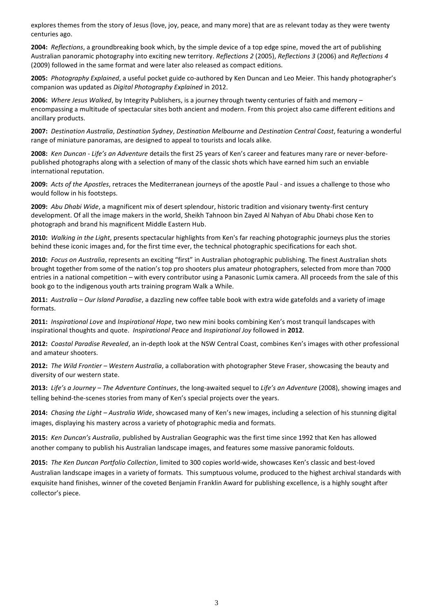explores themes from the story of Jesus (love, joy, peace, and many more) that are as relevant today as they were twenty centuries ago.

**2004:** *Reflections*, a groundbreaking book which, by the simple device of a top edge spine, moved the art of publishing Australian panoramic photography into exciting new territory. *Reflections 2* (2005), *Reflections 3* (2006) and *Reflections 4* (2009) followed in the same format and were later also released as compact editions.

**2005:** *Photography Explained*, a useful pocket guide co-authored by Ken Duncan and Leo Meier. This handy photographer's companion was updated as *Digital Photography Explained* in 2012.

**2006:** *Where Jesus Walked*, by Integrity Publishers, is a journey through twenty centuries of faith and memory – encompassing a multitude of spectacular sites both ancient and modern. From this project also came different editions and ancillary products.

**2007:** *Destination Australia*, *Destination Sydney*, *Destination Melbourne* and *Destination Central Coast*, featuring a wonderful range of miniature panoramas, are designed to appeal to tourists and locals alike.

**2008:** *Ken Duncan - Life's an Adventure* details the first 25 years of Ken's career and features many rare or never-beforepublished photographs along with a selection of many of the classic shots which have earned him such an enviable international reputation.

**2009:** *Acts of the Apostles*, retraces the Mediterranean journeys of the apostle Paul - and issues a challenge to those who would follow in his footsteps.

**2009:** *Abu Dhabi Wide*, a magnificent mix of desert splendour, historic tradition and visionary twenty-first century development. Of all the image makers in the world, Sheikh Tahnoon bin Zayed Al Nahyan of Abu Dhabi chose Ken to photograph and brand his magnificent Middle Eastern Hub.

**2010:** *Walking in the Light*, presents spectacular highlights from Ken's far reaching photographic journeys plus the stories behind these iconic images and, for the first time ever, the technical photographic specifications for each shot.

**2010:** *Focus on Australia*, represents an exciting "first" in Australian photographic publishing. The finest Australian shots brought together from some of the nation's top pro shooters plus amateur photographers, selected from more than 7000 entries in a national competition – with every contributor using a Panasonic Lumix camera. All proceeds from the sale of this book go to the indigenous youth arts training program Walk a While.

**2011:** *Australia – Our Island Paradise*, a dazzling new coffee table book with extra wide gatefolds and a variety of image formats.

**2011:** *Inspirational Love* and *Inspirational Hope*, two new mini books combining Ken's most tranquil landscapes with inspirational thoughts and quote. *Inspirational Peace* and *Inspirational Joy* followed in **2012**.

**2012:** *Coastal Paradise Revealed*, an in-depth look at the NSW Central Coast, combines Ken's images with other professional and amateur shooters.

**2012:** *The Wild Frontier – Western Australia*, a collaboration with photographer Steve Fraser, showcasing the beauty and diversity of our western state.

**2013:** *Life's a Journey – The Adventure Continues*, the long-awaited sequel to *Life's an Adventure* (2008), showing images and telling behind-the-scenes stories from many of Ken's special projects over the years.

**2014:** *Chasing the Light – Australia Wide*, showcased many of Ken's new images, including a selection of his stunning digital images, displaying his mastery across a variety of photographic media and formats.

**2015:** *Ken Duncan's Australia*, published by Australian Geographic was the first time since 1992 that Ken has allowed another company to publish his Australian landscape images, and features some massive panoramic foldouts.

**2015:** *The Ken Duncan Portfolio Collection*, limited to 300 copies world-wide, showcases Ken's classic and best-loved Australian landscape images in a variety of formats. This sumptuous volume, produced to the highest archival standards with exquisite hand finishes, winner of the coveted Benjamin Franklin Award for publishing excellence, is a highly sought after collector's piece.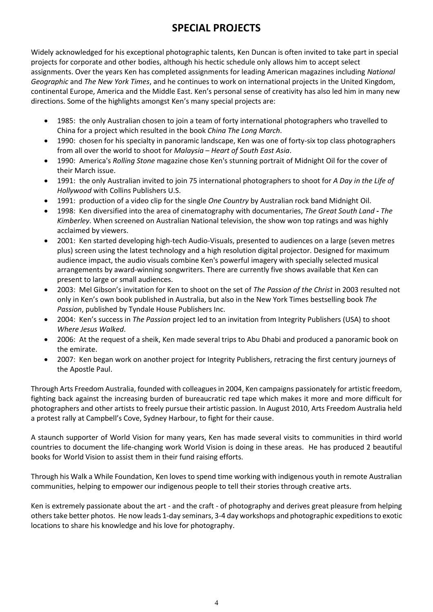## **SPECIAL PROJECTS**

Widely acknowledged for his exceptional photographic talents, Ken Duncan is often invited to take part in special projects for corporate and other bodies, although his hectic schedule only allows him to accept select assignments. Over the years Ken has completed assignments for leading American magazines including *National Geographic* and *The New York Times*, and he continues to work on international projects in the United Kingdom, continental Europe, America and the Middle East. Ken's personal sense of creativity has also led him in many new directions. Some of the highlights amongst Ken's many special projects are:

- 1985: the only Australian chosen to join a team of forty international photographers who travelled to China for a project which resulted in the book *China The Long March*.
- 1990: chosen for his specialty in panoramic landscape, Ken was one of forty-six top class photographers from all over the world to shoot for *Malaysia – Heart of South East Asia*.
- 1990: America's *Rolling Stone* magazine chose Ken's stunning portrait of Midnight Oil for the cover of their March issue.
- 1991: the only Australian invited to join 75 international photographers to shoot for *A Day in the Life of Hollywood* with Collins Publishers U.S.
- 1991: production of a video clip for the single *One Country* by Australian rock band Midnight Oil.
- 1998: Ken diversified into the area of cinematography with documentaries, *The Great South Land - The Kimberley*. When screened on Australian National television, the show won top ratings and was highly acclaimed by viewers.
- 2001: Ken started developing high-tech Audio-Visuals, presented to audiences on a large (seven metres plus) screen using the latest technology and a high resolution digital projector. Designed for maximum audience impact, the audio visuals combine Ken's powerful imagery with specially selected musical arrangements by award-winning songwriters. There are currently five shows available that Ken can present to large or small audiences.
- 2003: Mel Gibson's invitation for Ken to shoot on the set of *The Passion of the Christ* in 2003 resulted not only in Ken's own book published in Australia, but also in the New York Times bestselling book *The Passion*, published by Tyndale House Publishers Inc.
- 2004: Ken's success in *The Passion* project led to an invitation from Integrity Publishers (USA) to shoot *Where Jesus Walked*.
- 2006: At the request of a sheik, Ken made several trips to Abu Dhabi and produced a panoramic book on the emirate.
- 2007: Ken began work on another project for Integrity Publishers, retracing the first century journeys of the Apostle Paul.

Through Arts Freedom Australia, founded with colleagues in 2004, Ken campaigns passionately for artistic freedom, fighting back against the increasing burden of bureaucratic red tape which makes it more and more difficult for photographers and other artists to freely pursue their artistic passion. In August 2010, Arts Freedom Australia held a protest rally at Campbell's Cove, Sydney Harbour, to fight for their cause.

A staunch supporter of World Vision for many years, Ken has made several visits to communities in third world countries to document the life-changing work World Vision is doing in these areas. He has produced 2 beautiful books for World Vision to assist them in their fund raising efforts.

Through his Walk a While Foundation, Ken loves to spend time working with indigenous youth in remote Australian communities, helping to empower our indigenous people to tell their stories through creative arts.

Ken is extremely passionate about the art - and the craft - of photography and derives great pleasure from helping others take better photos. He now leads 1-day seminars, 3-4 day workshops and photographic expeditions to exotic locations to share his knowledge and his love for photography.